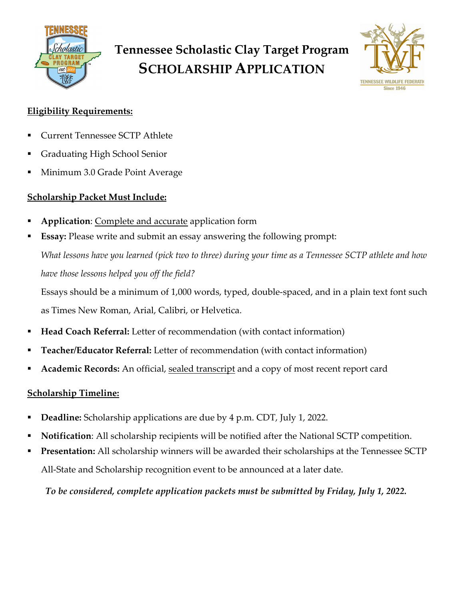

# **Tennessee Scholastic Clay Target Program SCHOLARSHIP APPLICATION**



#### **Eligibility Requirements:**

- § Current Tennessee SCTP Athlete
- § Graduating High School Senior
- § Minimum 3.0 Grade Point Average

#### **Scholarship Packet Must Include:**

- § **Application**: Complete and accurate application form
- **Essay:** Please write and submit an essay answering the following prompt: *What lessons have you learned (pick two to three) during your time as a Tennessee SCTP athlete and how have those lessons helped you off the field?*

Essays should be a minimum of 1,000 words, typed, double-spaced, and in a plain text font such as Times New Roman, Arial, Calibri, or Helvetica.

- § **Head Coach Referral:** Letter of recommendation (with contact information)
- § **Teacher/Educator Referral:** Letter of recommendation (with contact information)
- § **Academic Records:** An official, sealed transcript and a copy of most recent report card

#### **Scholarship Timeline:**

- § **Deadline:** Scholarship applications are due by 4 p.m. CDT, July 1, 2022.
- § **Notification**: All scholarship recipients will be notified after the National SCTP competition.
- § **Presentation:** All scholarship winners will be awarded their scholarships at the Tennessee SCTP All-State and Scholarship recognition event to be announced at a later date.

*To be considered, complete application packets must be submitted by Friday, July 1, 2022.*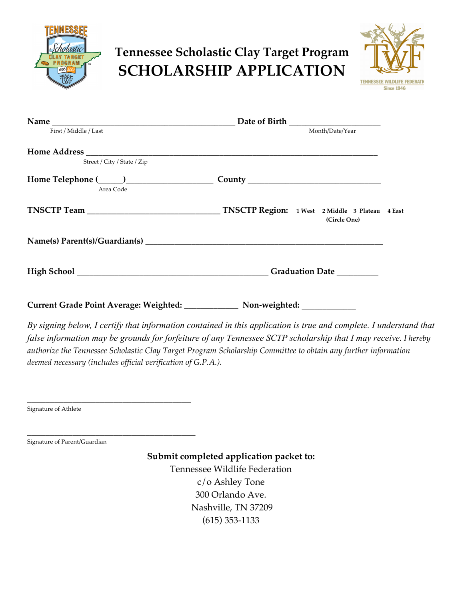

### **Tennessee Scholastic Clay Target Program SCHOLARSHIP APPLICATION**



| First / Middle / Last       | Month/Date/Year                                                 |  |
|-----------------------------|-----------------------------------------------------------------|--|
|                             |                                                                 |  |
| Street / City / State / Zip |                                                                 |  |
| Area Code                   |                                                                 |  |
|                             | TNSCTP Region: 1 West 2 Middle 3 Plateau 4 East<br>(Circle One) |  |
|                             |                                                                 |  |
|                             | Graduation Date ________                                        |  |
|                             |                                                                 |  |

*By signing below, I certify that information contained in this application is true and complete. I understand that false information may be grounds for forfeiture of any Tennessee SCTP scholarship that I may receive. I hereby authorize the Tennessee Scholastic Clay Target Program Scholarship Committee to obtain any further information deemed necessary (includes official verification of G.P.A.).* 

Signature of Athlete

Signature of Parent/Guardian

\_\_\_\_\_\_\_\_\_\_\_\_\_\_\_\_\_\_\_\_\_\_\_\_\_\_\_\_\_\_\_\_\_\_\_\_

\_\_\_\_\_\_\_\_\_\_\_\_\_\_\_\_\_\_\_\_\_\_\_\_\_\_\_\_\_\_\_\_\_\_\_\_\_

**Submit completed application packet to:**  Tennessee Wildlife Federation c/o Ashley Tone 300 Orlando Ave.

Nashville, TN 37209

(615) 353-1133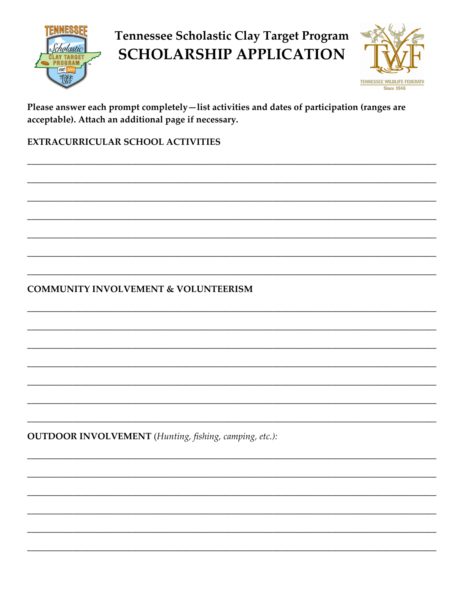

### Tennessee Scholastic Clay Target Program **SCHOLARSHIP APPLICATION**



Please answer each prompt completely-list activities and dates of participation (ranges are acceptable). Attach an additional page if necessary.

EXTRACURRICULAR SCHOOL ACTIVITIES

**COMMUNITY INVOLVEMENT & VOLUNTEERISM** 

**OUTDOOR INVOLVEMENT** (Hunting, fishing, camping, etc.):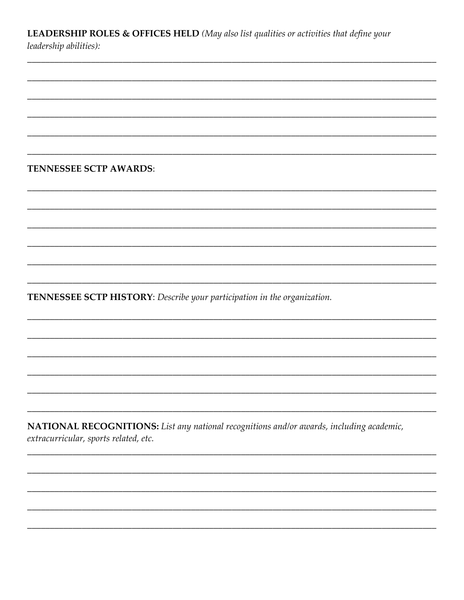LEADERSHIP ROLES & OFFICES HELD (May also list qualities or activities that define your leadership abilities):

**TENNESSEE SCTP AWARDS:** 

TENNESSEE SCTP HISTORY: Describe your participation in the organization.

NATIONAL RECOGNITIONS: List any national recognitions and/or awards, including academic, extracurricular, sports related, etc.